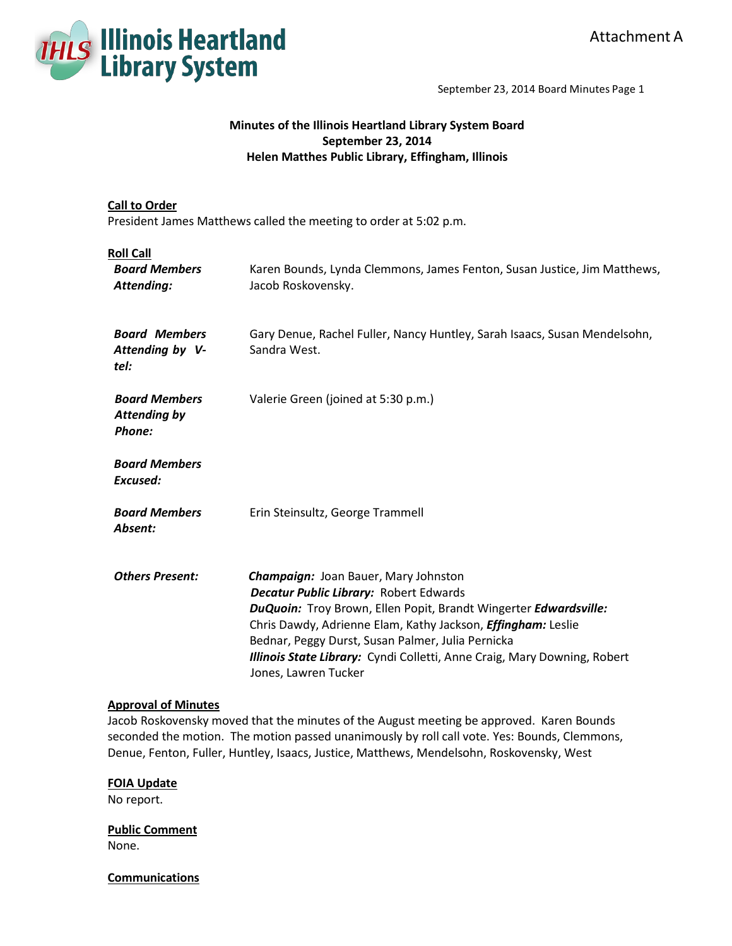

September 23, 2014 Board Minutes Page 1

# **Minutes of the Illinois Heartland Library System Board September 23, 2014 Helen Matthes Public Library, Effingham, Illinois**

# **Call to Order**

President James Matthews called the meeting to order at 5:02 p.m.

| <b>Roll Call</b><br><b>Board Members</b><br>Attending: | Karen Bounds, Lynda Clemmons, James Fenton, Susan Justice, Jim Matthews,<br>Jacob Roskovensky.                                                                                                                                                                                                                                                                                                   |
|--------------------------------------------------------|--------------------------------------------------------------------------------------------------------------------------------------------------------------------------------------------------------------------------------------------------------------------------------------------------------------------------------------------------------------------------------------------------|
| <b>Board Members</b><br>Attending by V-<br>tel:        | Gary Denue, Rachel Fuller, Nancy Huntley, Sarah Isaacs, Susan Mendelsohn,<br>Sandra West.                                                                                                                                                                                                                                                                                                        |
| <b>Board Members</b><br><b>Attending by</b><br>Phone:  | Valerie Green (joined at 5:30 p.m.)                                                                                                                                                                                                                                                                                                                                                              |
| <b>Board Members</b><br>Excused:                       |                                                                                                                                                                                                                                                                                                                                                                                                  |
| <b>Board Members</b><br>Absent:                        | Erin Steinsultz, George Trammell                                                                                                                                                                                                                                                                                                                                                                 |
| <b>Others Present:</b>                                 | <b>Champaign: Joan Bauer, Mary Johnston</b><br><b>Decatur Public Library: Robert Edwards</b><br>DuQuoin: Troy Brown, Ellen Popit, Brandt Wingerter Edwardsville:<br>Chris Dawdy, Adrienne Elam, Kathy Jackson, <i>Effingham:</i> Leslie<br>Bednar, Peggy Durst, Susan Palmer, Julia Pernicka<br>Illinois State Library: Cyndi Colletti, Anne Craig, Mary Downing, Robert<br>Jones, Lawren Tucker |

### **Approval of Minutes**

Jacob Roskovensky moved that the minutes of the August meeting be approved. Karen Bounds seconded the motion. The motion passed unanimously by roll call vote. Yes: Bounds, Clemmons, Denue, Fenton, Fuller, Huntley, Isaacs, Justice, Matthews, Mendelsohn, Roskovensky, West

### **FOIA Update**

No report.

**Public Comment** None.

**Communications**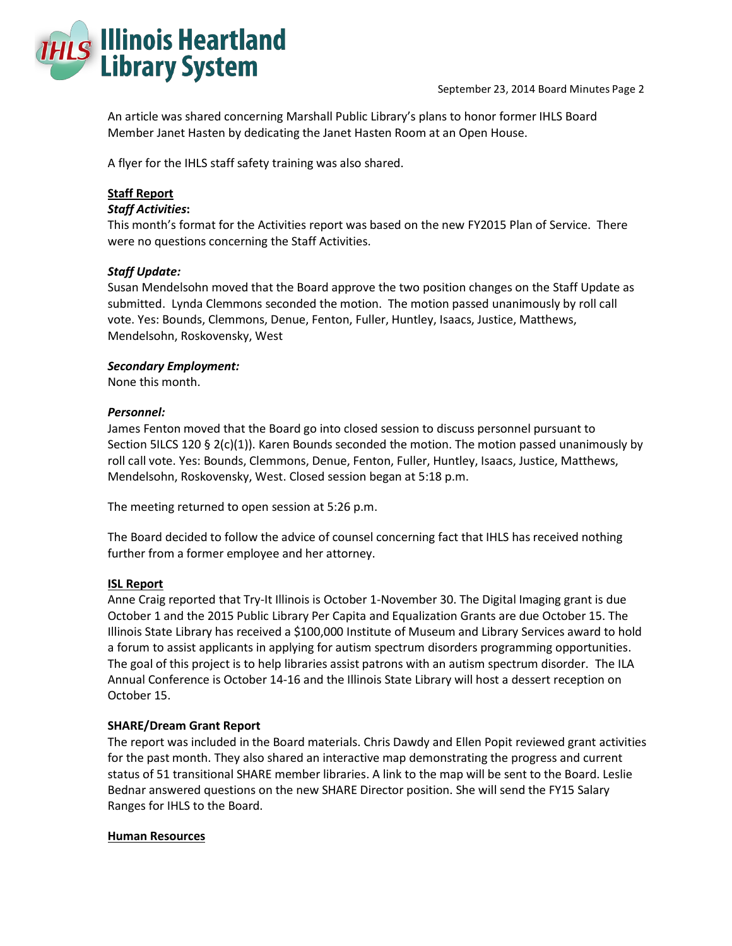

An article was shared concerning Marshall Public Library's plans to honor former IHLS Board Member Janet Hasten by dedicating the Janet Hasten Room at an Open House.

A flyer for the IHLS staff safety training was also shared.

# **Staff Report**

### *Staff Activities***:**

This month's format for the Activities report was based on the new FY2015 Plan of Service. There were no questions concerning the Staff Activities.

### *Staff Update:*

Susan Mendelsohn moved that the Board approve the two position changes on the Staff Update as submitted. Lynda Clemmons seconded the motion. The motion passed unanimously by roll call vote. Yes: Bounds, Clemmons, Denue, Fenton, Fuller, Huntley, Isaacs, Justice, Matthews, Mendelsohn, Roskovensky, West

### *Secondary Employment:*

None this month.

### *Personnel:*

James Fenton moved that the Board go into closed session to discuss personnel pursuant to Section 5ILCS 120 § 2(c)(1)). Karen Bounds seconded the motion. The motion passed unanimously by roll call vote. Yes: Bounds, Clemmons, Denue, Fenton, Fuller, Huntley, Isaacs, Justice, Matthews, Mendelsohn, Roskovensky, West. Closed session began at 5:18 p.m.

The meeting returned to open session at 5:26 p.m.

The Board decided to follow the advice of counsel concerning fact that IHLS has received nothing further from a former employee and her attorney.

### **ISL Report**

Anne Craig reported that Try-It Illinois is October 1-November 30. The Digital Imaging grant is due October 1 and the 2015 Public Library Per Capita and Equalization Grants are due October 15. The Illinois State Library has received a \$100,000 Institute of Museum and Library Services award to hold a forum to assist applicants in applying for autism spectrum disorders programming opportunities. The goal of this project is to help libraries assist patrons with an autism spectrum disorder. The ILA Annual Conference is October 14-16 and the Illinois State Library will host a dessert reception on October 15.

# **SHARE/Dream Grant Report**

The report was included in the Board materials. Chris Dawdy and Ellen Popit reviewed grant activities for the past month. They also shared an interactive map demonstrating the progress and current status of 51 transitional SHARE member libraries. A link to the map will be sent to the Board. Leslie Bednar answered questions on the new SHARE Director position. She will send the FY15 Salary Ranges for IHLS to the Board.

### **Human Resources**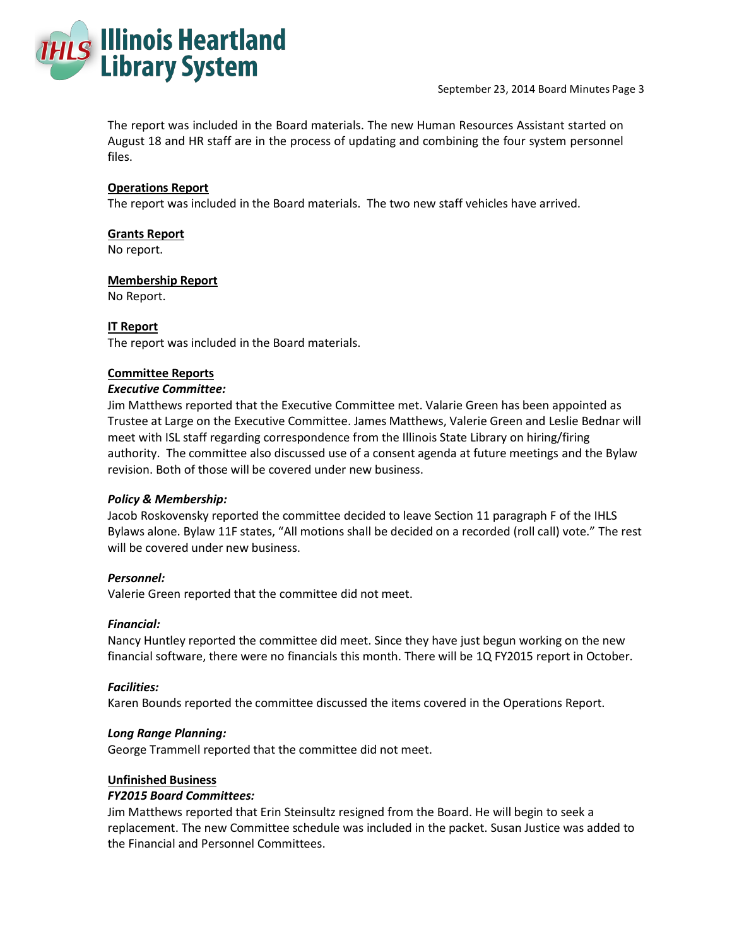

The report was included in the Board materials. The new Human Resources Assistant started on August 18 and HR staff are in the process of updating and combining the four system personnel files.

## **Operations Report**

The report was included in the Board materials. The two new staff vehicles have arrived.

### **Grants Report**

No report.

### **Membership Report**

No Report.

### **IT Report**

The report was included in the Board materials.

### **Committee Reports**

### *Executive Committee:*

Jim Matthews reported that the Executive Committee met. Valarie Green has been appointed as Trustee at Large on the Executive Committee. James Matthews, Valerie Green and Leslie Bednar will meet with ISL staff regarding correspondence from the Illinois State Library on hiring/firing authority. The committee also discussed use of a consent agenda at future meetings and the Bylaw revision. Both of those will be covered under new business.

# *Policy & Membership:*

Jacob Roskovensky reported the committee decided to leave Section 11 paragraph F of the IHLS Bylaws alone. Bylaw 11F states, "All motions shall be decided on a recorded (roll call) vote." The rest will be covered under new business.

### *Personnel:*

Valerie Green reported that the committee did not meet.

### *Financial:*

Nancy Huntley reported the committee did meet. Since they have just begun working on the new financial software, there were no financials this month. There will be 1Q FY2015 report in October.

### *Facilities:*

Karen Bounds reported the committee discussed the items covered in the Operations Report.

### *Long Range Planning:*

George Trammell reported that the committee did not meet.

### **Unfinished Business**

### *FY2015 Board Committees:*

Jim Matthews reported that Erin Steinsultz resigned from the Board. He will begin to seek a replacement. The new Committee schedule was included in the packet. Susan Justice was added to the Financial and Personnel Committees.